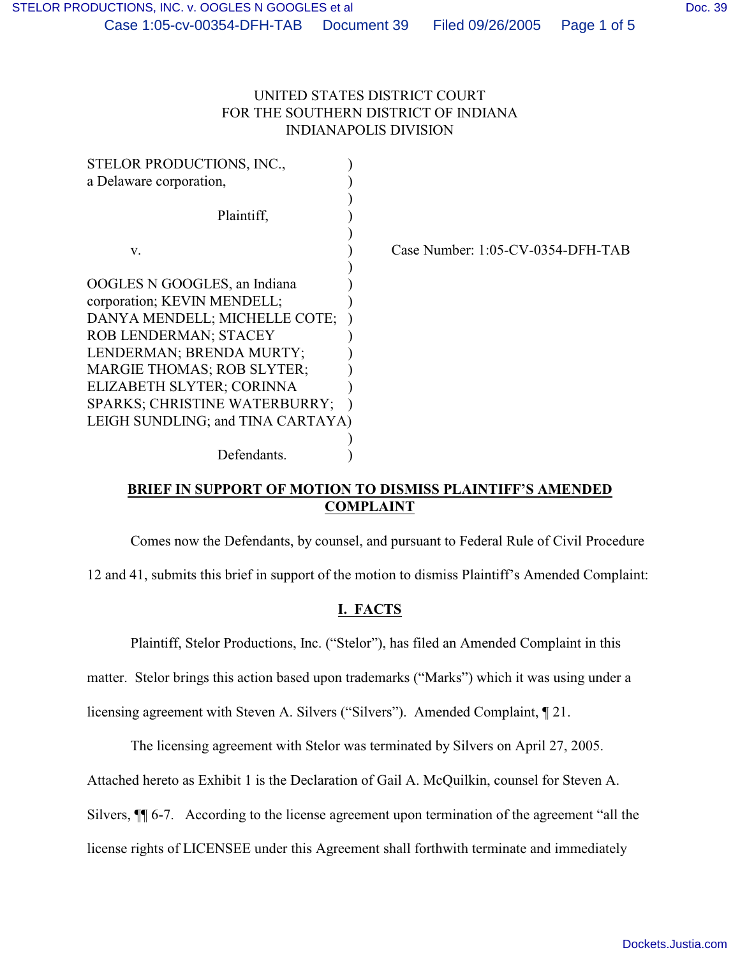## UNITED STATES DISTRICT COURT FOR THE SOUTHERN DISTRICT OF INDIANA INDIANAPOLIS DIVISION

| STELOR PRODUCTIONS, INC.,            |                                   |
|--------------------------------------|-----------------------------------|
| a Delaware corporation,              |                                   |
|                                      |                                   |
| Plaintiff,                           |                                   |
|                                      |                                   |
| V.                                   | Case Number: 1:05-CV-0354-DFH-TAB |
|                                      |                                   |
| OOGLES N GOOGLES, an Indiana         |                                   |
| corporation; KEVIN MENDELL;          |                                   |
| DANYA MENDELL; MICHELLE COTE;        |                                   |
| <b>ROB LENDERMAN; STACEY</b>         |                                   |
| LENDERMAN; BRENDA MURTY;             |                                   |
| <b>MARGIE THOMAS; ROB SLYTER;</b>    |                                   |
| ELIZABETH SLYTER; CORINNA            |                                   |
| <b>SPARKS: CHRISTINE WATERBURRY;</b> |                                   |
| LEIGH SUNDLING; and TINA CARTAYA)    |                                   |
|                                      |                                   |
| Defendants.                          |                                   |

## **BRIEF IN SUPPORT OF MOTION TO DISMISS PLAINTIFF'S AMENDED COMPLAINT**

Comes now the Defendants, by counsel, and pursuant to Federal Rule of Civil Procedure

12 and 41, submits this brief in support of the motion to dismiss Plaintiff's Amended Complaint:

# **I. FACTS**

Plaintiff, Stelor Productions, Inc. ("Stelor"), has filed an Amended Complaint in this

matter. Stelor brings this action based upon trademarks ("Marks") which it was using under a

licensing agreement with Steven A. Silvers ("Silvers"). Amended Complaint, ¶ 21.

The licensing agreement with Stelor was terminated by Silvers on April 27, 2005.

Attached hereto as Exhibit 1 is the Declaration of Gail A. McQuilkin, counsel for Steven A.

Silvers, ¶¶ 6-7. According to the license agreement upon termination of the agreement "all the

license rights of LICENSEE under this Agreement shall forthwith terminate and immediately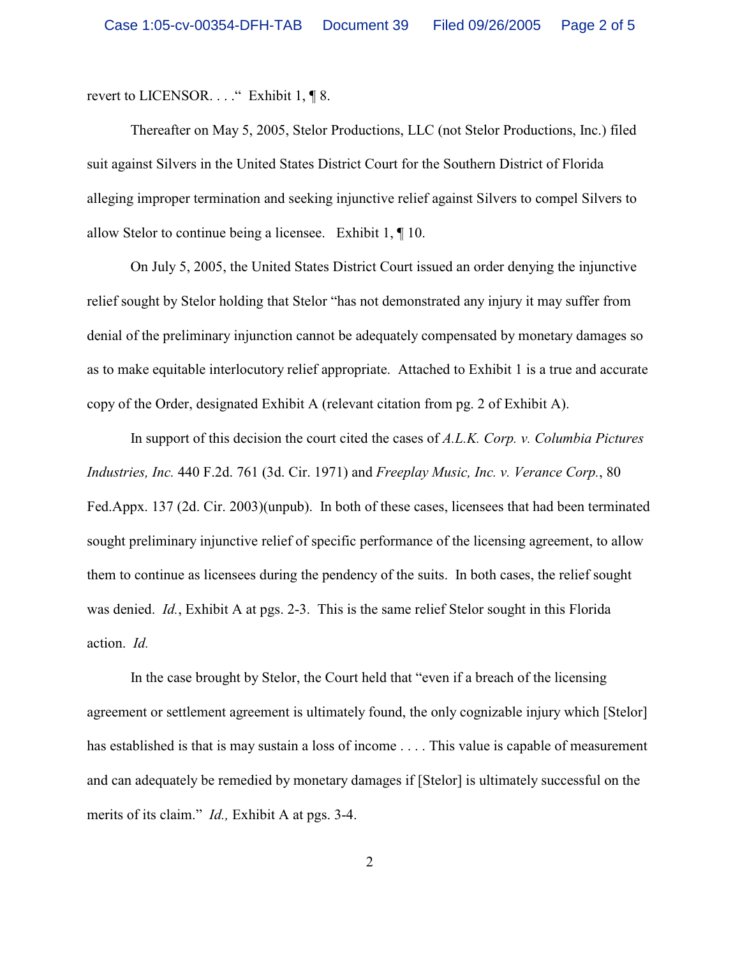revert to LICENSOR. . . ." Exhibit 1, ¶ 8.

Thereafter on May 5, 2005, Stelor Productions, LLC (not Stelor Productions, Inc.) filed suit against Silvers in the United States District Court for the Southern District of Florida alleging improper termination and seeking injunctive relief against Silvers to compel Silvers to allow Stelor to continue being a licensee. Exhibit 1, ¶ 10.

On July 5, 2005, the United States District Court issued an order denying the injunctive relief sought by Stelor holding that Stelor "has not demonstrated any injury it may suffer from denial of the preliminary injunction cannot be adequately compensated by monetary damages so as to make equitable interlocutory relief appropriate. Attached to Exhibit 1 is a true and accurate copy of the Order, designated Exhibit A (relevant citation from pg. 2 of Exhibit A).

In support of this decision the court cited the cases of *A.L.K. Corp. v. Columbia Pictures Industries, Inc.* 440 F.2d. 761 (3d. Cir. 1971) and *Freeplay Music, Inc. v. Verance Corp.*, 80 Fed.Appx. 137 (2d. Cir. 2003)(unpub). In both of these cases, licensees that had been terminated sought preliminary injunctive relief of specific performance of the licensing agreement, to allow them to continue as licensees during the pendency of the suits. In both cases, the relief sought was denied. *Id.*, Exhibit A at pgs. 2-3. This is the same relief Stelor sought in this Florida action. *Id.*

In the case brought by Stelor, the Court held that "even if a breach of the licensing agreement or settlement agreement is ultimately found, the only cognizable injury which [Stelor] has established is that is may sustain a loss of income .... This value is capable of measurement and can adequately be remedied by monetary damages if [Stelor] is ultimately successful on the merits of its claim." *Id.,* Exhibit A at pgs. 3-4.

2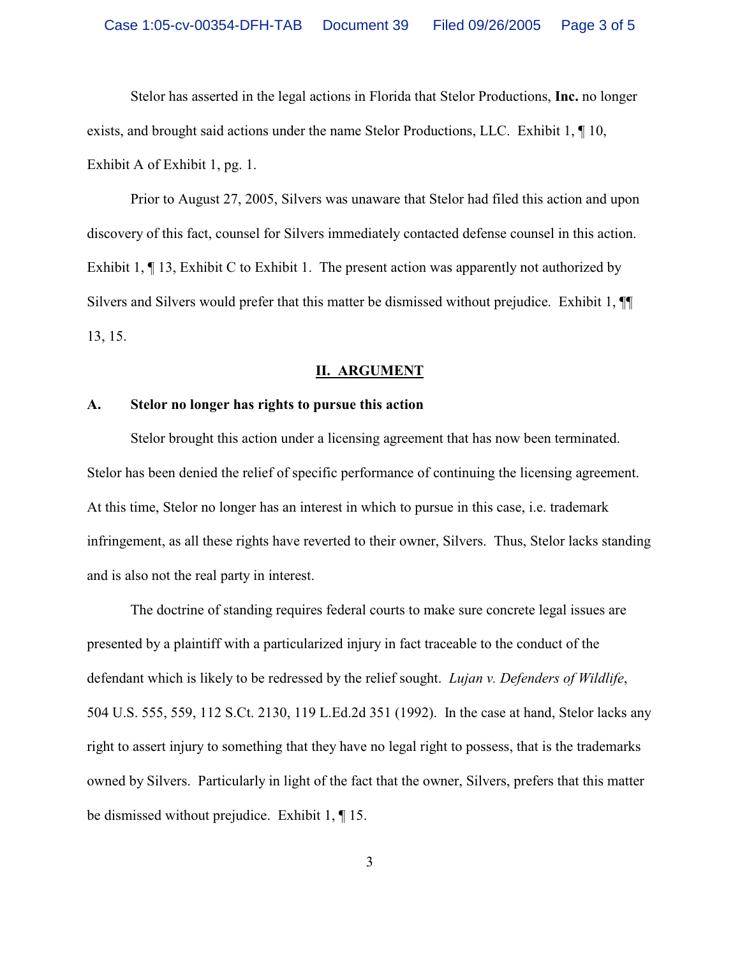Stelor has asserted in the legal actions in Florida that Stelor Productions, **Inc.** no longer exists, and brought said actions under the name Stelor Productions, LLC. Exhibit 1, ¶ 10, Exhibit A of Exhibit 1, pg. 1.

Prior to August 27, 2005, Silvers was unaware that Stelor had filed this action and upon discovery of this fact, counsel for Silvers immediately contacted defense counsel in this action. Exhibit 1,  $\P$  13, Exhibit C to Exhibit 1. The present action was apparently not authorized by Silvers and Silvers would prefer that this matter be dismissed without prejudice. Exhibit 1, ¶¶ 13, 15.

#### **II. ARGUMENT**

#### **A. Stelor no longer has rights to pursue this action**

Stelor brought this action under a licensing agreement that has now been terminated. Stelor has been denied the relief of specific performance of continuing the licensing agreement. At this time, Stelor no longer has an interest in which to pursue in this case, i.e. trademark infringement, as all these rights have reverted to their owner, Silvers. Thus, Stelor lacks standing and is also not the real party in interest.

The doctrine of standing requires federal courts to make sure concrete legal issues are presented by a plaintiff with a particularized injury in fact traceable to the conduct of the defendant which is likely to be redressed by the relief sought. *Lujan v. Defenders of Wildlife*, 504 U.S. 555, 559, 112 S.Ct. 2130, 119 L.Ed.2d 351 (1992). In the case at hand, Stelor lacks any right to assert injury to something that they have no legal right to possess, that is the trademarks owned by Silvers. Particularly in light of the fact that the owner, Silvers, prefers that this matter be dismissed without prejudice. Exhibit 1, ¶ 15.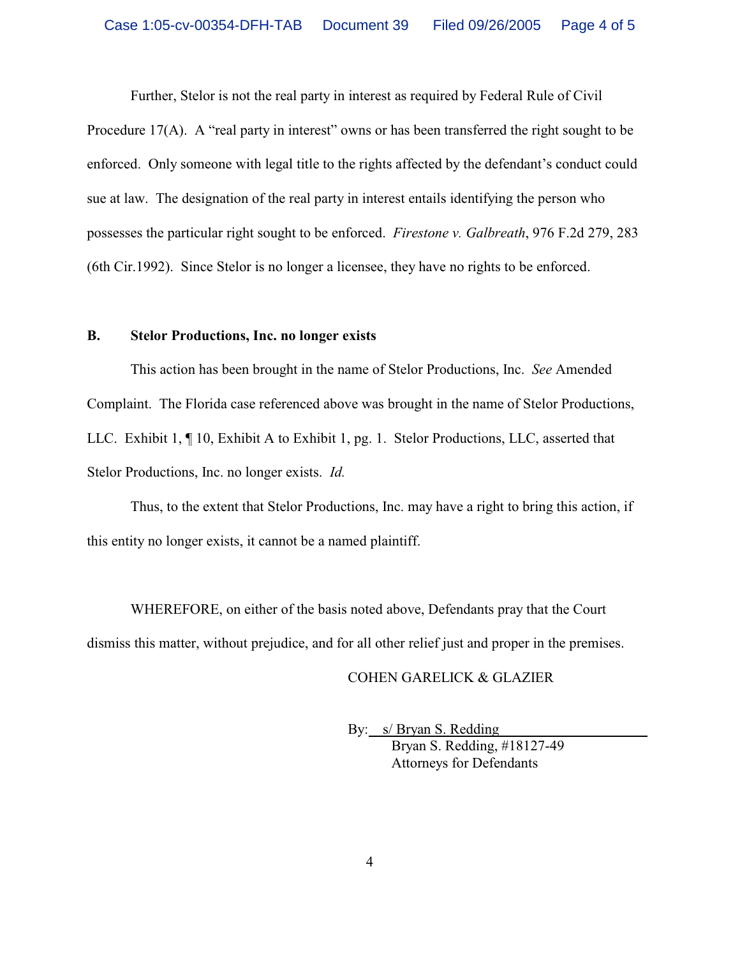Further, Stelor is not the real party in interest as required by Federal Rule of Civil

Procedure 17(A). A "real party in interest" owns or has been transferred the right sought to be enforced. Only someone with legal title to the rights affected by the defendant's conduct could sue at law. The designation of the real party in interest entails identifying the person who possesses the particular right sought to be enforced. *Firestone v. Galbreath*, 976 F.2d 279, 283 (6th Cir.1992). Since Stelor is no longer a licensee, they have no rights to be enforced.

#### **B. Stelor Productions, Inc. no longer exists**

This action has been brought in the name of Stelor Productions, Inc. *See* Amended Complaint. The Florida case referenced above was brought in the name of Stelor Productions, LLC. Exhibit 1, ¶ 10, Exhibit A to Exhibit 1, pg. 1. Stelor Productions, LLC, asserted that Stelor Productions, Inc. no longer exists. *Id.*

Thus, to the extent that Stelor Productions, Inc. may have a right to bring this action, if this entity no longer exists, it cannot be a named plaintiff.

WHEREFORE, on either of the basis noted above, Defendants pray that the Court dismiss this matter, without prejudice, and for all other relief just and proper in the premises.

### COHEN GARELICK & GLAZIER

By: s/ Bryan S. Redding Bryan S. Redding, #18127-49 Attorneys for Defendants